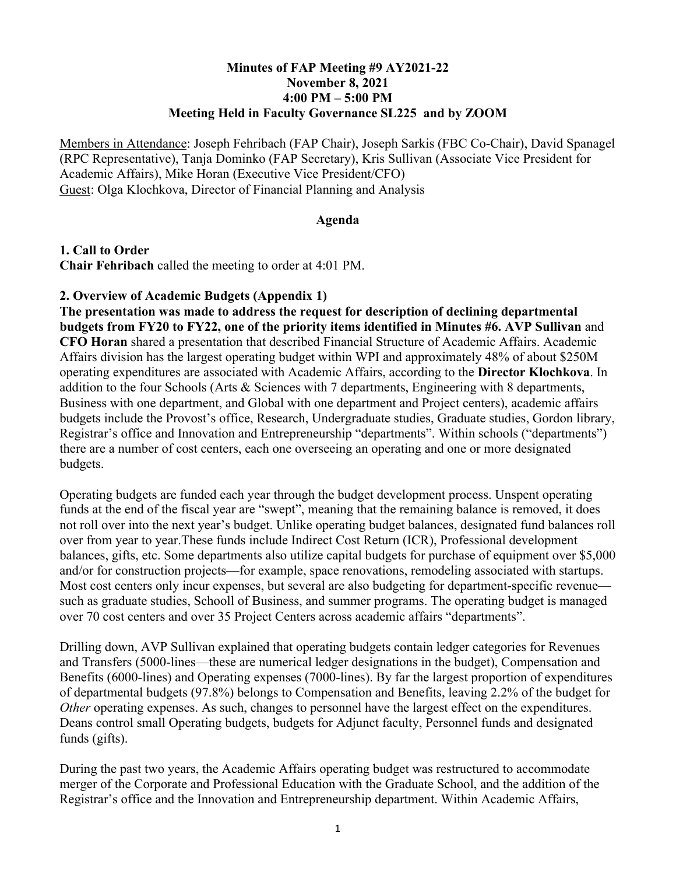## **Minutes of FAP Meeting #9 AY2021-22 November 8, 2021 4:00 PM – 5:00 PM Meeting Held in Faculty Governance SL225 and by ZOOM**

Members in Attendance: Joseph Fehribach (FAP Chair), Joseph Sarkis (FBC Co-Chair), David Spanagel (RPC Representative), Tanja Dominko (FAP Secretary), Kris Sullivan (Associate Vice President for Academic Affairs), Mike Horan (Executive Vice President/CFO) Guest: Olga Klochkova, Director of Financial Planning and Analysis

## **Agenda**

**1. Call to Order Chair Fehribach** called the meeting to order at 4:01 PM.

## **2. Overview of Academic Budgets (Appendix 1)**

**The presentation was made to address the request for description of declining departmental budgets from FY20 to FY22, one of the priority items identified in Minutes #6. AVP Sullivan** and **CFO Horan** shared a presentation that described Financial Structure of Academic Affairs. Academic Affairs division has the largest operating budget within WPI and approximately 48% of about \$250M operating expenditures are associated with Academic Affairs, according to the **Director Klochkova**. In addition to the four Schools (Arts & Sciences with 7 departments, Engineering with 8 departments, Business with one department, and Global with one department and Project centers), academic affairs budgets include the Provost's office, Research, Undergraduate studies, Graduate studies, Gordon library, Registrar's office and Innovation and Entrepreneurship "departments". Within schools ("departments") there are a number of cost centers, each one overseeing an operating and one or more designated budgets.

Operating budgets are funded each year through the budget development process. Unspent operating funds at the end of the fiscal year are "swept", meaning that the remaining balance is removed, it does not roll over into the next year's budget. Unlike operating budget balances, designated fund balances roll over from year to year.These funds include Indirect Cost Return (ICR), Professional development balances, gifts, etc. Some departments also utilize capital budgets for purchase of equipment over \$5,000 and/or for construction projects—for example, space renovations, remodeling associated with startups. Most cost centers only incur expenses, but several are also budgeting for department-specific revenue such as graduate studies, Schooll of Business, and summer programs. The operating budget is managed over 70 cost centers and over 35 Project Centers across academic affairs "departments".

Drilling down, AVP Sullivan explained that operating budgets contain ledger categories for Revenues and Transfers (5000-lines—these are numerical ledger designations in the budget), Compensation and Benefits (6000-lines) and Operating expenses (7000-lines). By far the largest proportion of expenditures of departmental budgets (97.8%) belongs to Compensation and Benefits, leaving 2.2% of the budget for *Other* operating expenses. As such, changes to personnel have the largest effect on the expenditures. Deans control small Operating budgets, budgets for Adjunct faculty, Personnel funds and designated funds (gifts).

During the past two years, the Academic Affairs operating budget was restructured to accommodate merger of the Corporate and Professional Education with the Graduate School, and the addition of the Registrar's office and the Innovation and Entrepreneurship department. Within Academic Affairs,